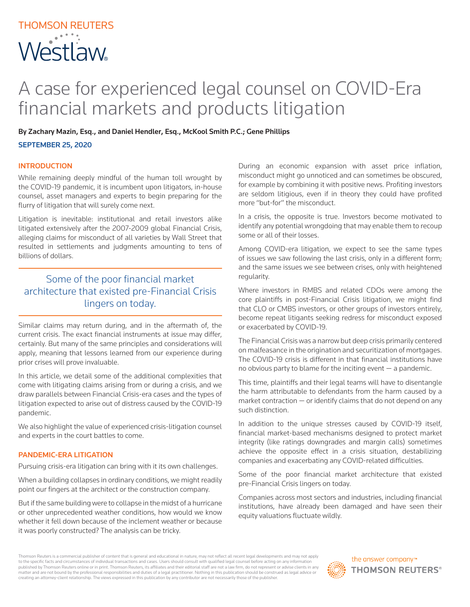# THOMSON REUTERS Westlaw.

## A case for experienced legal counsel on COVID-Era financial markets and products litigation

By Zachary Mazin, Esq., and Daniel Hendler, Esq., McKool Smith P.C.; Gene Phillips

SEPTEMBER 25, 2020

#### INTRODUCTION

While remaining deeply mindful of the human toll wrought by the COVID-19 pandemic, it is incumbent upon litigators, in-house counsel, asset managers and experts to begin preparing for the flurry of litigation that will surely come next.

Litigation is inevitable: institutional and retail investors alike litigated extensively after the 2007-2009 global Financial Crisis, alleging claims for misconduct of all varieties by Wall Street that resulted in settlements and judgments amounting to tens of billions of dollars.

### Some of the poor financial market architecture that existed pre-Financial Crisis lingers on today.

Similar claims may return during, and in the aftermath of, the current crisis. The exact financial instruments at issue may differ, certainly. But many of the same principles and considerations will apply, meaning that lessons learned from our experience during prior crises will prove invaluable.

In this article, we detail some of the additional complexities that come with litigating claims arising from or during a crisis, and we draw parallels between Financial Crisis-era cases and the types of litigation expected to arise out of distress caused by the COVID-19 pandemic.

We also highlight the value of experienced crisis-litigation counsel and experts in the court battles to come.

#### PANDEMIC-ERA LITIGATION

Pursuing crisis-era litigation can bring with it its own challenges.

When a building collapses in ordinary conditions, we might readily point our fingers at the architect or the construction company.

But if the same building were to collapse in the midst of a hurricane or other unprecedented weather conditions, how would we know whether it fell down because of the inclement weather or because it was poorly constructed? The analysis can be tricky.

During an economic expansion with asset price inflation, misconduct might go unnoticed and can sometimes be obscured, for example by combining it with positive news. Profiting investors are seldom litigious, even if in theory they could have profited more "but-for" the misconduct.

In a crisis, the opposite is true. Investors become motivated to identify any potential wrongdoing that may enable them to recoup some or all of their losses.

Among COVID-era litigation, we expect to see the same types of issues we saw following the last crisis, only in a different form; and the same issues we see between crises, only with heightened regularity.

Where investors in RMBS and related CDOs were among the core plaintiffs in post-Financial Crisis litigation, we might find that CLO or CMBS investors, or other groups of investors entirely, become repeat litigants seeking redress for misconduct exposed or exacerbated by COVID-19.

The Financial Crisis was a narrow but deep crisis primarily centered on malfeasance in the origination and securitization of mortgages. The COVID-19 crisis is different in that financial institutions have no obvious party to blame for the inciting event  $-$  a pandemic.

This time, plaintiffs and their legal teams will have to disentangle the harm attributable to defendants from the harm caused by a market contraction — or identify claims that do not depend on any such distinction.

In addition to the unique stresses caused by COVID-19 itself, financial market-based mechanisms designed to protect market integrity (like ratings downgrades and margin calls) sometimes achieve the opposite effect in a crisis situation, destabilizing companies and exacerbating any COVID-related difficulties.

Some of the poor financial market architecture that existed pre-Financial Crisis lingers on today.

Companies across most sectors and industries, including financial institutions, have already been damaged and have seen their equity valuations fluctuate wildly.

Thomson Reuters is a commercial publisher of content that is general and educational in nature, may not reflect all recent legal developments and may not apply to the specific facts and circumstances of individual transactions and cases. Users should consult with qualified legal counsel before acting on any information published by Thomson Reuters online or in print. Thomson Reuters, its affiliates and their editorial staff are not a law firm, do not represent or advise clients in any matter and are not bound by the professional responsibilities and duties of a legal practitioner. Nothing in this publication should be construed as legal advice or creating an attorney-client relationship. The views expressed in this publication by any contributor are not necessarily those of the publisher.

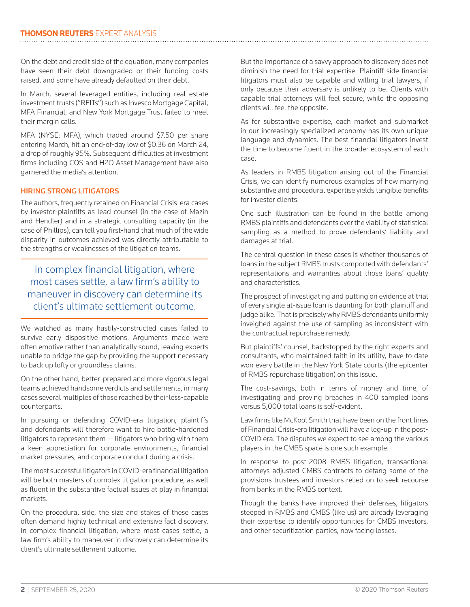On the debt and credit side of the equation, many companies have seen their debt downgraded or their funding costs raised, and some have already defaulted on their debt.

In March, several leveraged entities, including real estate investment trusts ("REITs") such as Invesco Mortgage Capital, MFA Financial, and New York Mortgage Trust failed to meet their margin calls.

MFA (NYSE: MFA), which traded around \$7.50 per share entering March, hit an end-of-day low of \$0.36 on March 24, a drop of roughly 95%. Subsequent difficulties at investment firms including CQS and H2O Asset Management have also garnered the media's attention.

#### HIRING STRONG LITIGATORS

The authors, frequently retained on Financial Crisis-era cases by investor-plaintiffs as lead counsel (in the case of Mazin and Hendler) and in a strategic consulting capacity (in the case of Phillips), can tell you first-hand that much of the wide disparity in outcomes achieved was directly attributable to the strengths or weaknesses of the litigation teams.

In complex financial litigation, where most cases settle, a law firm's ability to maneuver in discovery can determine its client's ultimate settlement outcome.

We watched as many hastily-constructed cases failed to survive early dispositive motions. Arguments made were often emotive rather than analytically sound, leaving experts unable to bridge the gap by providing the support necessary to back up lofty or groundless claims.

On the other hand, better-prepared and more vigorous legal teams achieved handsome verdicts and settlements, in many cases several multiples of those reached by their less-capable counterparts.

In pursuing or defending COVID-era litigation, plaintiffs and defendants will therefore want to hire battle-hardened litigators to represent them — litigators who bring with them a keen appreciation for corporate environments, financial market pressures, and corporate conduct during a crisis.

The most successful litigators in COVID-era financial litigation will be both masters of complex litigation procedure, as well as fluent in the substantive factual issues at play in financial markets.

On the procedural side, the size and stakes of these cases often demand highly technical and extensive fact discovery. In complex financial litigation, where most cases settle, a law firm's ability to maneuver in discovery can determine its client's ultimate settlement outcome.

But the importance of a savvy approach to discovery does not diminish the need for trial expertise. Plaintiff-side financial litigators must also be capable and willing trial lawyers, if only because their adversary is unlikely to be. Clients with capable trial attorneys will feel secure, while the opposing clients will feel the opposite.

As for substantive expertise, each market and submarket in our increasingly specialized economy has its own unique language and dynamics. The best financial litigators invest the time to become fluent in the broader ecosystem of each case.

As leaders in RMBS litigation arising out of the Financial Crisis, we can identify numerous examples of how marrying substantive and procedural expertise yields tangible benefits for investor clients.

One such illustration can be found in the battle among RMBS plaintiffs and defendants over the viability of statistical sampling as a method to prove defendants' liability and damages at trial.

The central question in these cases is whether thousands of loans in the subject RMBS trusts comported with defendants' representations and warranties about those loans' quality and characteristics.

The prospect of investigating and putting on evidence at trial of every single at-issue loan is daunting for both plaintiff and judge alike. That is precisely why RMBS defendants uniformly inveighed against the use of sampling as inconsistent with the contractual repurchase remedy.

But plaintiffs' counsel, backstopped by the right experts and consultants, who maintained faith in its utility, have to date won every battle in the New York State courts (the epicenter of RMBS repurchase litigation) on this issue.

The cost-savings, both in terms of money and time, of investigating and proving breaches in 400 sampled loans versus 5,000 total loans is self-evident.

Law firms like McKool Smith that have been on the front lines of Financial Crisis-era litigation will have a leg-up in the post-COVID era. The disputes we expect to see among the various players in the CMBS space is one such example.

In response to post-2008 RMBS litigation, transactional attorneys adjusted CMBS contracts to defang some of the provisions trustees and investors relied on to seek recourse from banks in the RMBS context.

Though the banks have improved their defenses, litigators steeped in RMBS and CMBS (like us) are already leveraging their expertise to identify opportunities for CMBS investors, and other securitization parties, now facing losses.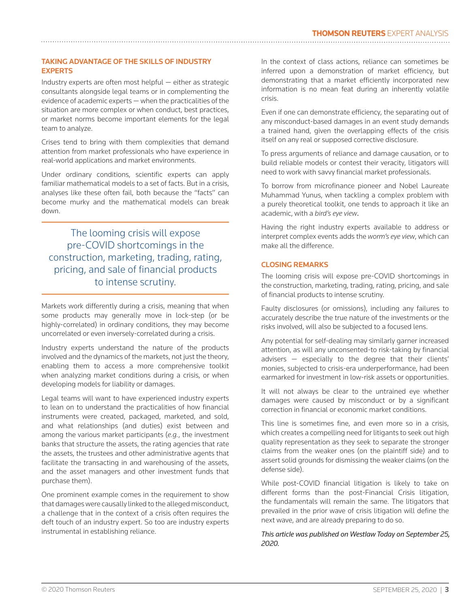#### TAKING ADVANTAGE OF THE SKILLS OF INDUSTRY EXPERTS

Industry experts are often most helpful  $-$  either as strategic consultants alongside legal teams or in complementing the evidence of academic experts — when the practicalities of the situation are more complex or when conduct, best practices, or market norms become important elements for the legal team to analyze.

Crises tend to bring with them complexities that demand attention from market professionals who have experience in real-world applications and market environments.

Under ordinary conditions, scientific experts can apply familiar mathematical models to a set of facts. But in a crisis, analyses like these often fail, both because the "facts" can become murky and the mathematical models can break down.

The looming crisis will expose pre-COVID shortcomings in the construction, marketing, trading, rating, pricing, and sale of financial products to intense scrutiny.

Markets work differently during a crisis, meaning that when some products may generally move in lock-step (or be highly-correlated) in ordinary conditions, they may become uncorrelated or even inversely-correlated during a crisis.

Industry experts understand the nature of the products involved and the dynamics of the markets, not just the theory, enabling them to access a more comprehensive toolkit when analyzing market conditions during a crisis, or when developing models for liability or damages.

Legal teams will want to have experienced industry experts to lean on to understand the practicalities of how financial instruments were created, packaged, marketed, and sold, and what relationships (and duties) exist between and among the various market participants (*e.g.*, the investment banks that structure the assets, the rating agencies that rate the assets, the trustees and other administrative agents that facilitate the transacting in and warehousing of the assets, and the asset managers and other investment funds that purchase them).

One prominent example comes in the requirement to show that damages were causally linked to the alleged misconduct, a challenge that in the context of a crisis often requires the deft touch of an industry expert. So too are industry experts instrumental in establishing reliance.

In the context of class actions, reliance can sometimes be inferred upon a demonstration of market efficiency, but demonstrating that a market efficiently incorporated new information is no mean feat during an inherently volatile crisis.

Even if one can demonstrate efficiency, the separating out of any misconduct-based damages in an event study demands a trained hand, given the overlapping effects of the crisis itself on any real or supposed corrective disclosure.

To press arguments of reliance and damage causation, or to build reliable models or contest their veracity, litigators will need to work with savvy financial market professionals.

To borrow from microfinance pioneer and Nobel Laureate Muhammad Yunus, when tackling a complex problem with a purely theoretical toolkit, one tends to approach it like an academic, with a *bird's eye view*.

Having the right industry experts available to address or interpret complex events adds the *worm's eye view*, which can make all the difference.

#### CLOSING REMARKS

The looming crisis will expose pre-COVID shortcomings in the construction, marketing, trading, rating, pricing, and sale of financial products to intense scrutiny.

Faulty disclosures (or omissions), including any failures to accurately describe the true nature of the investments or the risks involved, will also be subjected to a focused lens.

Any potential for self-dealing may similarly garner increased attention, as will any unconsented-to risk-taking by financial advisers — especially to the degree that their clients' monies, subjected to crisis-era underperformance, had been earmarked for investment in low-risk assets or opportunities.

It will not always be clear to the untrained eye whether damages were caused by misconduct or by a significant correction in financial or economic market conditions.

This line is sometimes fine, and even more so in a crisis, which creates a compelling need for litigants to seek out high quality representation as they seek to separate the stronger claims from the weaker ones (on the plaintiff side) and to assert solid grounds for dismissing the weaker claims (on the defense side).

While post-COVID financial litigation is likely to take on different forms than the post-Financial Crisis litigation, the fundamentals will remain the same. The litigators that prevailed in the prior wave of crisis litigation will define the next wave, and are already preparing to do so.

#### *This article was published on Westlaw Today on September 25, 2020.*